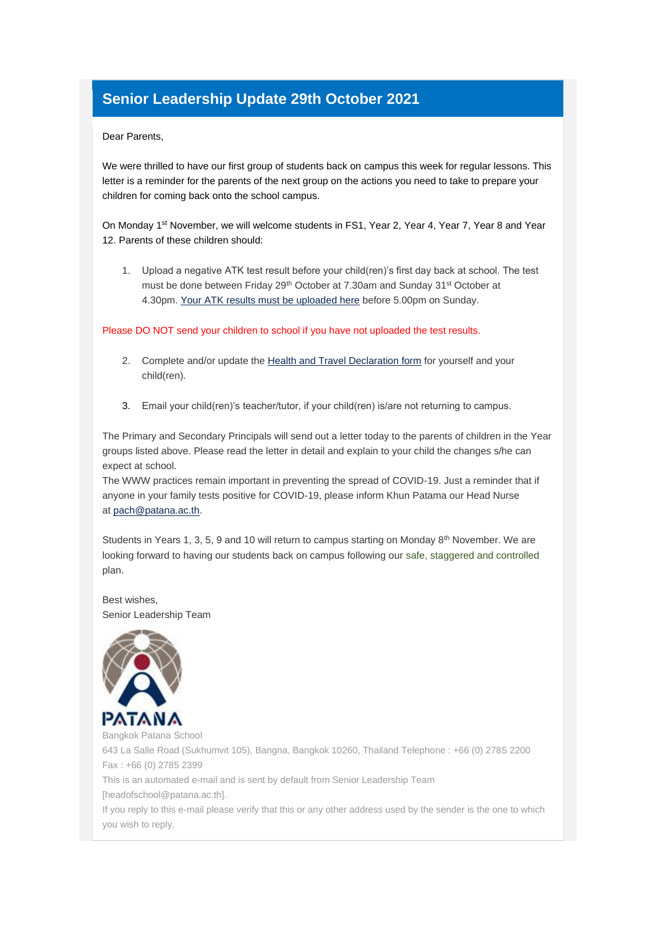## **Senior Leadership Update 29th October 2021**

## Dear Parents,

We were thrilled to have our first group of students back on campus this week for regular lessons. This letter is a reminder for the parents of the next group on the actions you need to take to prepare your children for coming back onto the school campus.

On Monday 1st November, we will welcome students in FS1, Year 2, Year 4, Year 7, Year 8 and Year 12. Parents of these children should:

1. Upload a negative ATK test result before your child(ren)'s first day back at school. The test must be done between Friday 29<sup>th</sup> October at 7.30am and Sunday 31<sup>st</sup> October at 4.30pm. [Your ATK results must](https://apc01.safelinks.protection.outlook.com/?url=https%3A%2F%2Fbpsnet.patana.ac.th%2Fgateway%2Fforms%2Fcovid19%2Fparent&data=04%7C01%7Cheadofschool%40patana.ac.th%7C717957d747e94dd6a2c308d99a85687e%7C9732db3186954030ae01e3217b1daaec%7C1%7C0%7C637710720038923319%7CUnknown%7CTWFpbGZsb3d8eyJWIjoiMC4wLjAwMDAiLCJQIjoiV2luMzIiLCJBTiI6Ik1haWwiLCJXVCI6Mn0%3D%7C1000&sdata=mHtx79CzcapuOoY6yzgy3H%2BUlBPKdlcVCje0PxjdYbo%3D&reserved=0) [be uploaded here](https://apc01.safelinks.protection.outlook.com/?url=https%3A%2F%2Fbpsnet.patana.ac.th%2Fgateway%2Fforms%2Fcovid19%2Fparent&data=04%7C01%7Cheadofschool%40patana.ac.th%7C717957d747e94dd6a2c308d99a85687e%7C9732db3186954030ae01e3217b1daaec%7C1%7C0%7C637710720038933274%7CUnknown%7CTWFpbGZsb3d8eyJWIjoiMC4wLjAwMDAiLCJQIjoiV2luMzIiLCJBTiI6Ik1haWwiLCJXVCI6Mn0%3D%7C1000&sdata=U0nJjDKE3LliBbVad%2Fv5tDPCJr4Gn2u9C%2B%2B%2FTAvuYys%3D&reserved=0) before 5.00pm on Sunday.

Please DO NOT send your children to school if you have not uploaded the test results.

- 2. Complete and/or update the [Health and Travel Declaration form](https://apc01.safelinks.protection.outlook.com/?url=https%3A%2F%2Fbpsnet.patana.ac.th%2Fgateway%2Fforms%2Fcovid19%2Fparent&data=04%7C01%7Cheadofschool%40patana.ac.th%7C717957d747e94dd6a2c308d99a85687e%7C9732db3186954030ae01e3217b1daaec%7C1%7C0%7C637710720038933274%7CUnknown%7CTWFpbGZsb3d8eyJWIjoiMC4wLjAwMDAiLCJQIjoiV2luMzIiLCJBTiI6Ik1haWwiLCJXVCI6Mn0%3D%7C1000&sdata=U0nJjDKE3LliBbVad%2Fv5tDPCJr4Gn2u9C%2B%2B%2FTAvuYys%3D&reserved=0) for yourself and your child(ren).
- 3. Email your child(ren)'s teacher/tutor, if your child(ren) is/are not returning to campus.

The Primary and Secondary Principals will send out a letter today to the parents of children in the Year groups listed above. Please read the letter in detail and explain to your child the changes s/he can expect at school.

The WWW practices remain important in preventing the spread of COVID-19. Just a reminder that if anyone in your family tests positive for COVID-19, please inform Khun Patama our Head Nurse at [pach@patana.ac.th.](mailto:pach@patana.ac.th)

Students in Years 1, 3, 5, 9 and 10 will return to campus starting on Monday  $8<sup>th</sup>$  November. We are looking forward to having our students back on campus following our safe, staggered and controlled plan.

Best wishes, Senior Leadership Team



Bangkok Patana School 643 La Salle Road (Sukhumvit 105), Bangna, Bangkok 10260, Thailand Telephone : +66 (0) 2785 2200 Fax : +66 (0) 2785 2399 This is an automated e-mail and is sent by default from Senior Leadership Team [headofschool@patana.ac.th].

If you reply to this e-mail please verify that this or any other address used by the sender is the one to which you wish to reply.